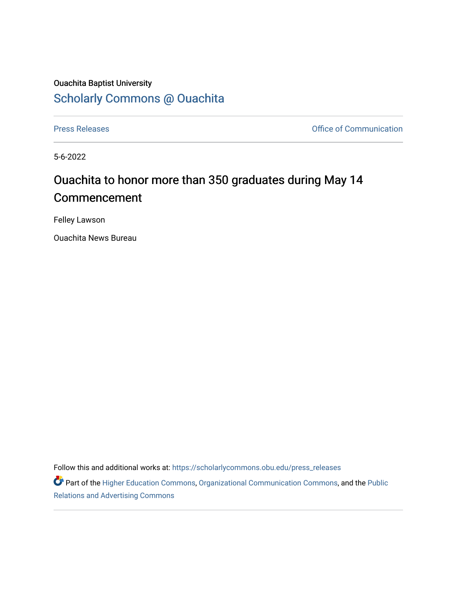## Ouachita Baptist University [Scholarly Commons @ Ouachita](https://scholarlycommons.obu.edu/)

[Press Releases](https://scholarlycommons.obu.edu/press_releases) **Press Releases Communication** 

5-6-2022

## Ouachita to honor more than 350 graduates during May 14 Commencement

Felley Lawson

Ouachita News Bureau

Follow this and additional works at: [https://scholarlycommons.obu.edu/press\\_releases](https://scholarlycommons.obu.edu/press_releases?utm_source=scholarlycommons.obu.edu%2Fpress_releases%2F1091&utm_medium=PDF&utm_campaign=PDFCoverPages)

Part of the [Higher Education Commons,](http://network.bepress.com/hgg/discipline/1245?utm_source=scholarlycommons.obu.edu%2Fpress_releases%2F1091&utm_medium=PDF&utm_campaign=PDFCoverPages) [Organizational Communication Commons,](http://network.bepress.com/hgg/discipline/335?utm_source=scholarlycommons.obu.edu%2Fpress_releases%2F1091&utm_medium=PDF&utm_campaign=PDFCoverPages) and the [Public](http://network.bepress.com/hgg/discipline/336?utm_source=scholarlycommons.obu.edu%2Fpress_releases%2F1091&utm_medium=PDF&utm_campaign=PDFCoverPages) [Relations and Advertising Commons](http://network.bepress.com/hgg/discipline/336?utm_source=scholarlycommons.obu.edu%2Fpress_releases%2F1091&utm_medium=PDF&utm_campaign=PDFCoverPages)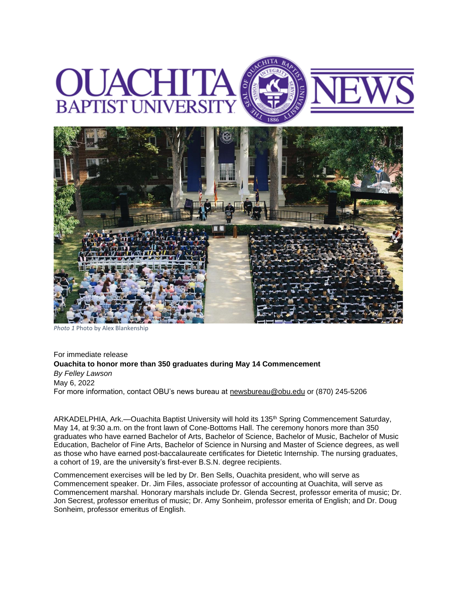



*Photo 1* Photo by Alex Blankenship

For immediate release **Ouachita to honor more than 350 graduates during May 14 Commencement** *By Felley Lawson* May 6, 2022 For more information, contact OBU's news bureau at [newsbureau@obu.edu](mailto:newsbureau@obu.edu) or (870) 245-5206

ARKADELPHIA, Ark.—Ouachita Baptist University will hold its 135th Spring Commencement Saturday, May 14, at 9:30 a.m. on the front lawn of Cone-Bottoms Hall. The ceremony honors more than 350 graduates who have earned Bachelor of Arts, Bachelor of Science, Bachelor of Music, Bachelor of Music Education, Bachelor of Fine Arts, Bachelor of Science in Nursing and Master of Science degrees, as well as those who have earned post-baccalaureate certificates for Dietetic Internship. The nursing graduates, a cohort of 19, are the university's first-ever B.S.N. degree recipients.

Commencement exercises will be led by Dr. Ben Sells, Ouachita president, who will serve as Commencement speaker. Dr. Jim Files, associate professor of accounting at Ouachita, will serve as Commencement marshal. Honorary marshals include Dr. Glenda Secrest, professor emerita of music; Dr. Jon Secrest, professor emeritus of music; Dr. Amy Sonheim, professor emerita of English; and Dr. Doug Sonheim, professor emeritus of English.